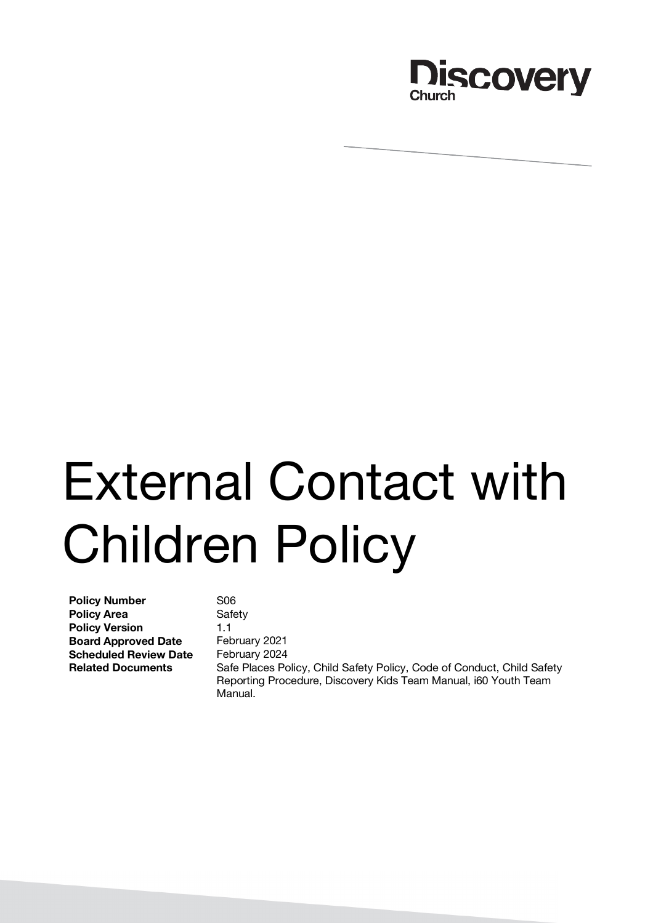

# External Contact with Children Policy

**Policy Number** S06 **Policy Area** Safety **Policy Version** 1.1 **Board Approved Date** February 2021 **Scheduled Review Date** February 2024

**Related Documents** Safe Places Policy, Child Safety Policy, Code of Conduct, Child Safety Reporting Procedure, Discovery Kids Team Manual, i60 Youth Team Manual.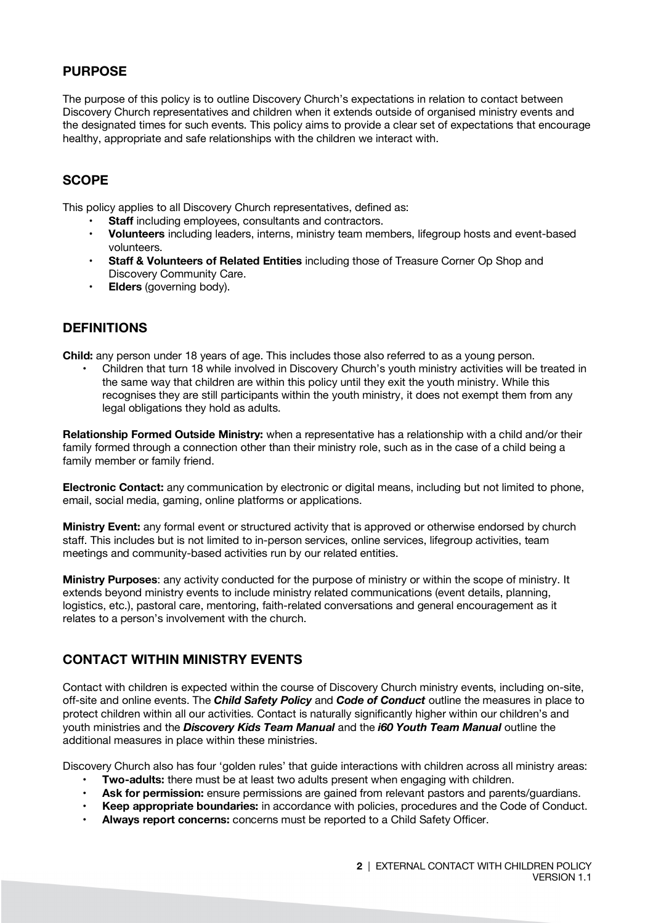# **PURPOSE**

The purpose of this policy is to outline Discovery Church's expectations in relation to contact between Discovery Church representatives and children when it extends outside of organised ministry events and the designated times for such events. This policy aims to provide a clear set of expectations that encourage healthy, appropriate and safe relationships with the children we interact with.

## **SCOPE**

This policy applies to all Discovery Church representatives, defined as:

- **Staff** including employees, consultants and contractors.
- **Volunteers** including leaders, interns, ministry team members, lifegroup hosts and event-based volunteers.
- **Staff & Volunteers of Related Entities** including those of Treasure Corner Op Shop and Discovery Community Care.
- **Elders** (governing body).

## **DEFINITIONS**

**Child:** any person under 18 years of age. This includes those also referred to as a young person.

• Children that turn 18 while involved in Discovery Church's youth ministry activities will be treated in the same way that children are within this policy until they exit the youth ministry. While this recognises they are still participants within the youth ministry, it does not exempt them from any legal obligations they hold as adults.

**Relationship Formed Outside Ministry:** when a representative has a relationship with a child and/or their family formed through a connection other than their ministry role, such as in the case of a child being a family member or family friend.

**Electronic Contact:** any communication by electronic or digital means, including but not limited to phone, email, social media, gaming, online platforms or applications.

**Ministry Event:** any formal event or structured activity that is approved or otherwise endorsed by church staff. This includes but is not limited to in-person services, online services, lifegroup activities, team meetings and community-based activities run by our related entities.

**Ministry Purposes**: any activity conducted for the purpose of ministry or within the scope of ministry. It extends beyond ministry events to include ministry related communications (event details, planning, logistics, etc.), pastoral care, mentoring, faith-related conversations and general encouragement as it relates to a person's involvement with the church.

## **CONTACT WITHIN MINISTRY EVENTS**

Contact with children is expected within the course of Discovery Church ministry events, including on-site, off-site and online events. The *Child Safety Policy* and *Code of Conduct* outline the measures in place to protect children within all our activities. Contact is naturally significantly higher within our children's and youth ministries and the *Discovery Kids Team Manual* and the *i60 Youth Team Manual* outline the additional measures in place within these ministries.

Discovery Church also has four 'golden rules' that guide interactions with children across all ministry areas:

- **Two-adults:** there must be at least two adults present when engaging with children.
- **Ask for permission:** ensure permissions are gained from relevant pastors and parents/guardians.
- **Keep appropriate boundaries:** in accordance with policies, procedures and the Code of Conduct.
- **Always report concerns:** concerns must be reported to a Child Safety Officer.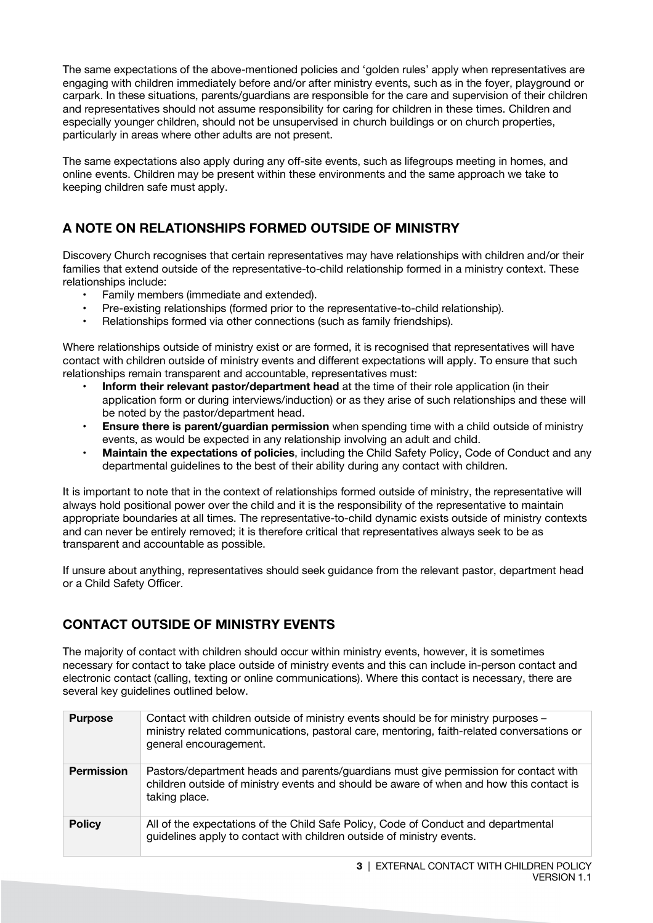The same expectations of the above-mentioned policies and 'golden rules' apply when representatives are engaging with children immediately before and/or after ministry events, such as in the foyer, playground or carpark. In these situations, parents/guardians are responsible for the care and supervision of their children and representatives should not assume responsibility for caring for children in these times. Children and especially younger children, should not be unsupervised in church buildings or on church properties, particularly in areas where other adults are not present.

The same expectations also apply during any off-site events, such as lifegroups meeting in homes, and online events. Children may be present within these environments and the same approach we take to keeping children safe must apply.

# **A NOTE ON RELATIONSHIPS FORMED OUTSIDE OF MINISTRY**

Discovery Church recognises that certain representatives may have relationships with children and/or their families that extend outside of the representative-to-child relationship formed in a ministry context. These relationships include:

- Family members (immediate and extended).
- Pre-existing relationships (formed prior to the representative-to-child relationship).
- Relationships formed via other connections (such as family friendships).

Where relationships outside of ministry exist or are formed, it is recognised that representatives will have contact with children outside of ministry events and different expectations will apply. To ensure that such relationships remain transparent and accountable, representatives must:

- **Inform their relevant pastor/department head** at the time of their role application (in their application form or during interviews/induction) or as they arise of such relationships and these will be noted by the pastor/department head.
- **Ensure there is parent/guardian permission** when spending time with a child outside of ministry events, as would be expected in any relationship involving an adult and child.
- **Maintain the expectations of policies**, including the Child Safety Policy, Code of Conduct and any departmental guidelines to the best of their ability during any contact with children.

It is important to note that in the context of relationships formed outside of ministry, the representative will always hold positional power over the child and it is the responsibility of the representative to maintain appropriate boundaries at all times. The representative-to-child dynamic exists outside of ministry contexts and can never be entirely removed; it is therefore critical that representatives always seek to be as transparent and accountable as possible.

If unsure about anything, representatives should seek guidance from the relevant pastor, department head or a Child Safety Officer.

# **CONTACT OUTSIDE OF MINISTRY EVENTS**

The majority of contact with children should occur within ministry events, however, it is sometimes necessary for contact to take place outside of ministry events and this can include in-person contact and electronic contact (calling, texting or online communications). Where this contact is necessary, there are several key guidelines outlined below.

| <b>Purpose</b>    | Contact with children outside of ministry events should be for ministry purposes -<br>ministry related communications, pastoral care, mentoring, faith-related conversations or<br>general encouragement. |
|-------------------|-----------------------------------------------------------------------------------------------------------------------------------------------------------------------------------------------------------|
| <b>Permission</b> | Pastors/department heads and parents/guardians must give permission for contact with<br>children outside of ministry events and should be aware of when and how this contact is<br>taking place.          |
| <b>Policy</b>     | All of the expectations of the Child Safe Policy, Code of Conduct and departmental<br>guidelines apply to contact with children outside of ministry events.                                               |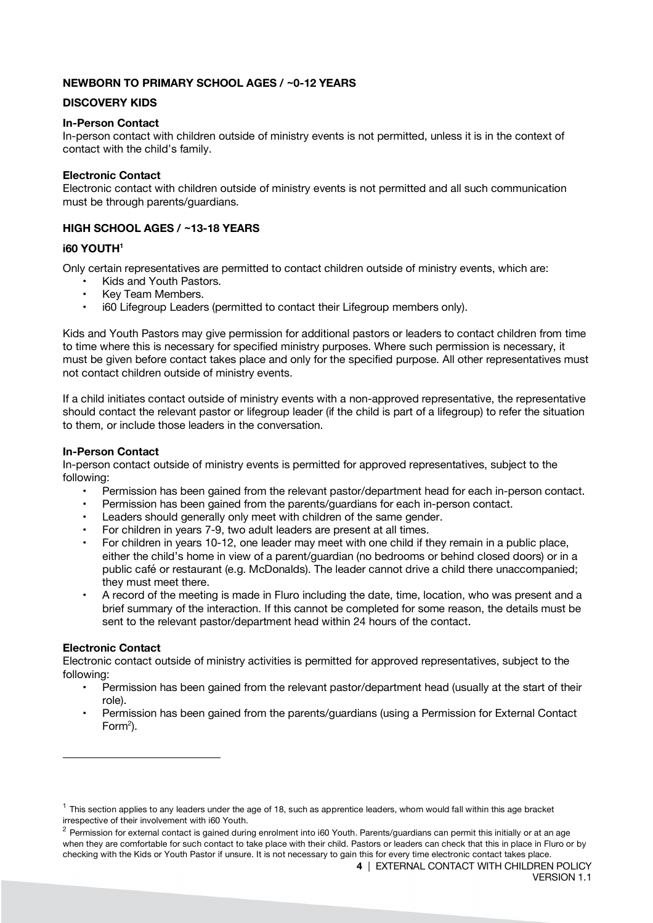#### **NEWBORN TO PRIMARY SCHOOL AGES / ~0-12 YEARS**

#### **DISCOVERY KIDS**

#### **In-Person Contact**

In-person contact with children outside of ministry events is not permitted, unless it is in the context of contact with the child's family.

#### **Electronic Contact**

Electronic contact with children outside of ministry events is not permitted and all such communication must be through parents/guardians.

#### **HIGH SCHOOL AGES / ~13-18 YEARS**

#### **i60 YOUTH1**

Only certain representatives are permitted to contact children outside of ministry events, which are:

- Kids and Youth Pastors.
- Key Team Members.
- i60 Lifegroup Leaders (permitted to contact their Lifegroup members only).

Kids and Youth Pastors may give permission for additional pastors or leaders to contact children from time to time where this is necessary for specified ministry purposes. Where such permission is necessary, it must be given before contact takes place and only for the specified purpose. All other representatives must not contact children outside of ministry events.

If a child initiates contact outside of ministry events with a non-approved representative, the representative should contact the relevant pastor or lifegroup leader (if the child is part of a lifegroup) to refer the situation to them, or include those leaders in the conversation.

#### **In-Person Contact**

In-person contact outside of ministry events is permitted for approved representatives, subject to the following:

- Permission has been gained from the relevant pastor/department head for each in-person contact.
- Permission has been gained from the parents/guardians for each in-person contact.
- Leaders should generally only meet with children of the same gender.
- For children in years 7-9, two adult leaders are present at all times.
- For children in years 10-12, one leader may meet with one child if they remain in a public place, either the child's home in view of a parent/guardian (no bedrooms or behind closed doors) or in a public café or restaurant (e.g. McDonalds). The leader cannot drive a child there unaccompanied; they must meet there.
- A record of the meeting is made in Fluro including the date, time, location, who was present and a brief summary of the interaction. If this cannot be completed for some reason, the details must be sent to the relevant pastor/department head within 24 hours of the contact.

#### **Electronic Contact**

 $\overline{a}$ 

Electronic contact outside of ministry activities is permitted for approved representatives, subject to the following:

- Permission has been gained from the relevant pastor/department head (usually at the start of their role).
- Permission has been gained from the parents/guardians (using a Permission for External Contact Form $^2$ ).

 $1$  This section applies to any leaders under the age of 18, such as apprentice leaders, whom would fall within this age bracket irrespective of their involvement with i60 Youth.

 $^2$  Permission for external contact is gained during enrolment into i60 Youth. Parents/guardians can permit this initially or at an age when they are comfortable for such contact to take place with their child. Pastors or leaders can check that this in place in Fluro or by checking with the Kids or Youth Pastor if unsure. It is not necessary to gain this for every time electronic contact takes place.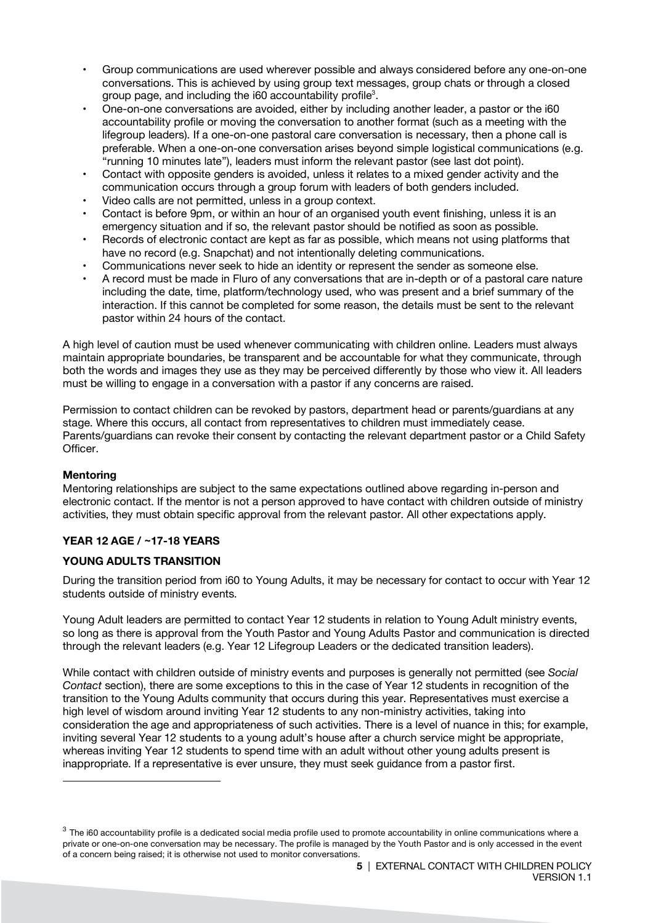- Group communications are used wherever possible and always considered before any one-on-one conversations. This is achieved by using group text messages, group chats or through a closed group page, and including the i60 accountability profile<sup>3</sup>.
- One-on-one conversations are avoided, either by including another leader, a pastor or the i60 accountability profile or moving the conversation to another format (such as a meeting with the lifegroup leaders). If a one-on-one pastoral care conversation is necessary, then a phone call is preferable. When a one-on-one conversation arises beyond simple logistical communications (e.g. "running 10 minutes late"), leaders must inform the relevant pastor (see last dot point).
- Contact with opposite genders is avoided, unless it relates to a mixed gender activity and the communication occurs through a group forum with leaders of both genders included.
- Video calls are not permitted, unless in a group context.
- Contact is before 9pm, or within an hour of an organised youth event finishing, unless it is an emergency situation and if so, the relevant pastor should be notified as soon as possible.
- Records of electronic contact are kept as far as possible, which means not using platforms that have no record (e.g. Snapchat) and not intentionally deleting communications.
- Communications never seek to hide an identity or represent the sender as someone else.
- A record must be made in Fluro of any conversations that are in-depth or of a pastoral care nature including the date, time, platform/technology used, who was present and a brief summary of the interaction. If this cannot be completed for some reason, the details must be sent to the relevant pastor within 24 hours of the contact.

A high level of caution must be used whenever communicating with children online. Leaders must always maintain appropriate boundaries, be transparent and be accountable for what they communicate, through both the words and images they use as they may be perceived differently by those who view it. All leaders must be willing to engage in a conversation with a pastor if any concerns are raised.

Permission to contact children can be revoked by pastors, department head or parents/guardians at any stage. Where this occurs, all contact from representatives to children must immediately cease. Parents/guardians can revoke their consent by contacting the relevant department pastor or a Child Safety Officer.

#### **Mentoring**

 $\overline{a}$ 

Mentoring relationships are subject to the same expectations outlined above regarding in-person and electronic contact. If the mentor is not a person approved to have contact with children outside of ministry activities, they must obtain specific approval from the relevant pastor. All other expectations apply.

#### **YEAR 12 AGE / ~17-18 YEARS**

#### **YOUNG ADULTS TRANSITION**

During the transition period from i60 to Young Adults, it may be necessary for contact to occur with Year 12 students outside of ministry events.

Young Adult leaders are permitted to contact Year 12 students in relation to Young Adult ministry events, so long as there is approval from the Youth Pastor and Young Adults Pastor and communication is directed through the relevant leaders (e.g. Year 12 Lifegroup Leaders or the dedicated transition leaders).

While contact with children outside of ministry events and purposes is generally not permitted (see *Social Contact* section), there are some exceptions to this in the case of Year 12 students in recognition of the transition to the Young Adults community that occurs during this year. Representatives must exercise a high level of wisdom around inviting Year 12 students to any non-ministry activities, taking into consideration the age and appropriateness of such activities. There is a level of nuance in this; for example, inviting several Year 12 students to a young adult's house after a church service might be appropriate, whereas inviting Year 12 students to spend time with an adult without other young adults present is inappropriate. If a representative is ever unsure, they must seek guidance from a pastor first.

 $3$  The i60 accountability profile is a dedicated social media profile used to promote accountability in online communications where a private or one-on-one conversation may be necessary. The profile is managed by the Youth Pastor and is only accessed in the event of a concern being raised; it is otherwise not used to monitor conversations.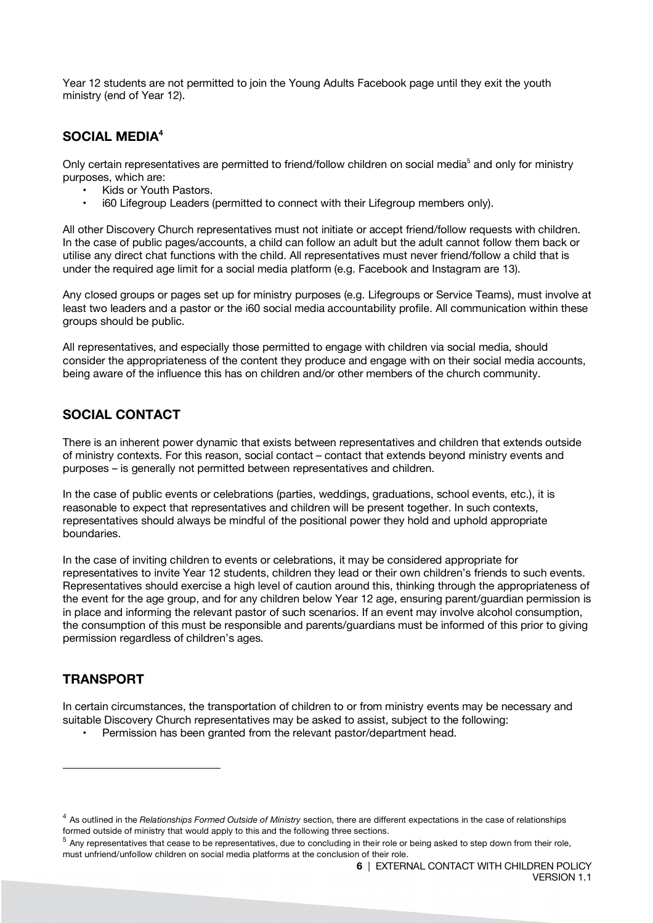Year 12 students are not permitted to join the Young Adults Facebook page until they exit the youth ministry (end of Year 12).

## **SOCIAL MEDIA4**

Only certain representatives are permitted to friend/follow children on social media<sup>5</sup> and only for ministry purposes, which are:

- Kids or Youth Pastors.
- i60 Lifegroup Leaders (permitted to connect with their Lifegroup members only).

All other Discovery Church representatives must not initiate or accept friend/follow requests with children. In the case of public pages/accounts, a child can follow an adult but the adult cannot follow them back or utilise any direct chat functions with the child. All representatives must never friend/follow a child that is under the required age limit for a social media platform (e.g. Facebook and Instagram are 13).

Any closed groups or pages set up for ministry purposes (e.g. Lifegroups or Service Teams), must involve at least two leaders and a pastor or the i60 social media accountability profile. All communication within these groups should be public.

All representatives, and especially those permitted to engage with children via social media, should consider the appropriateness of the content they produce and engage with on their social media accounts, being aware of the influence this has on children and/or other members of the church community.

## **SOCIAL CONTACT**

There is an inherent power dynamic that exists between representatives and children that extends outside of ministry contexts. For this reason, social contact – contact that extends beyond ministry events and purposes – is generally not permitted between representatives and children.

In the case of public events or celebrations (parties, weddings, graduations, school events, etc.), it is reasonable to expect that representatives and children will be present together. In such contexts, representatives should always be mindful of the positional power they hold and uphold appropriate boundaries.

In the case of inviting children to events or celebrations, it may be considered appropriate for representatives to invite Year 12 students, children they lead or their own children's friends to such events. Representatives should exercise a high level of caution around this, thinking through the appropriateness of the event for the age group, and for any children below Year 12 age, ensuring parent/guardian permission is in place and informing the relevant pastor of such scenarios. If an event may involve alcohol consumption, the consumption of this must be responsible and parents/guardians must be informed of this prior to giving permission regardless of children's ages.

## **TRANSPORT**

l

In certain circumstances, the transportation of children to or from ministry events may be necessary and suitable Discovery Church representatives may be asked to assist, subject to the following:

• Permission has been granted from the relevant pastor/department head.

<sup>4</sup> As outlined in the *Relationships Formed Outside of Ministry* section, there are different expectations in the case of relationships formed outside of ministry that would apply to this and the following three sections.<br> $5$  Any representatives that cease to be representatives, due to concluding in their role or being asked to step down from their role,

must unfriend/unfollow children on social media platforms at the conclusion of their role.